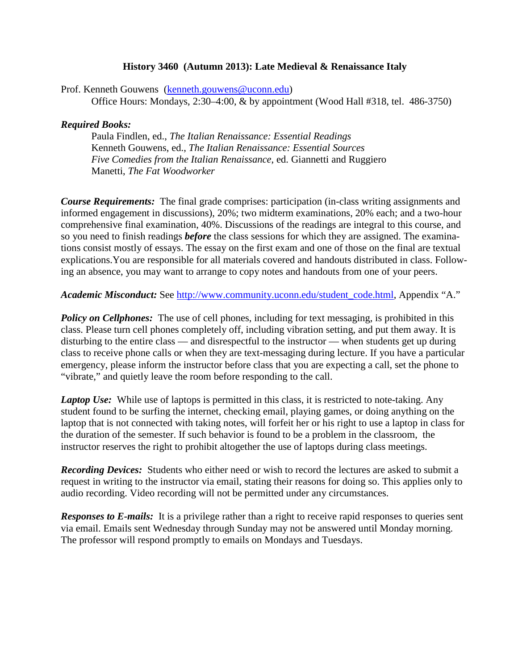## **History 3460 (Autumn 2013): Late Medieval & Renaissance Italy**

Prof. Kenneth Gouwens [\(kenneth.gouwens@uconn.edu\)](mailto:kenneth.gouwens@uconn.edu) Office Hours: Mondays, 2:30–4:00, & by appointment (Wood Hall #318, tel. 486-3750)

## *Required Books:*

Paula Findlen, ed., *The Italian Renaissance: Essential Readings* Kenneth Gouwens, ed., *The Italian Renaissance: Essential Sources Five Comedies from the Italian Renaissance*, ed. Giannetti and Ruggiero Manetti, *The Fat Woodworker*

*Course Requirements:* The final grade comprises: participation (in-class writing assignments and informed engagement in discussions), 20%; two midterm examinations, 20% each; and a two-hour comprehensive final examination, 40%. Discussions of the readings are integral to this course, and so you need to finish readings *before* the class sessions for which they are assigned. The examinations consist mostly of essays. The essay on the first exam and one of those on the final are textual explications.You are responsible for all materials covered and handouts distributed in class. Following an absence, you may want to arrange to copy notes and handouts from one of your peers.

*Academic Misconduct:* See [http://www.community.uconn.edu/student\\_code.html,](http://www.community.uconn.edu/student_code.html) Appendix "A."

**Policy on Cellphones:** The use of cell phones, including for text messaging, is prohibited in this class. Please turn cell phones completely off, including vibration setting, and put them away. It is disturbing to the entire class — and disrespectful to the instructor — when students get up during class to receive phone calls or when they are text-messaging during lecture. If you have a particular emergency, please inform the instructor before class that you are expecting a call, set the phone to "vibrate," and quietly leave the room before responding to the call.

*Laptop Use:* While use of laptops is permitted in this class, it is restricted to note-taking. Any student found to be surfing the internet, checking email, playing games, or doing anything on the laptop that is not connected with taking notes, will forfeit her or his right to use a laptop in class for the duration of the semester. If such behavior is found to be a problem in the classroom, the instructor reserves the right to prohibit altogether the use of laptops during class meetings.

*Recording Devices:* Students who either need or wish to record the lectures are asked to submit a request in writing to the instructor via email, stating their reasons for doing so. This applies only to audio recording. Video recording will not be permitted under any circumstances.

*Responses to E-mails:* It is a privilege rather than a right to receive rapid responses to queries sent via email. Emails sent Wednesday through Sunday may not be answered until Monday morning. The professor will respond promptly to emails on Mondays and Tuesdays.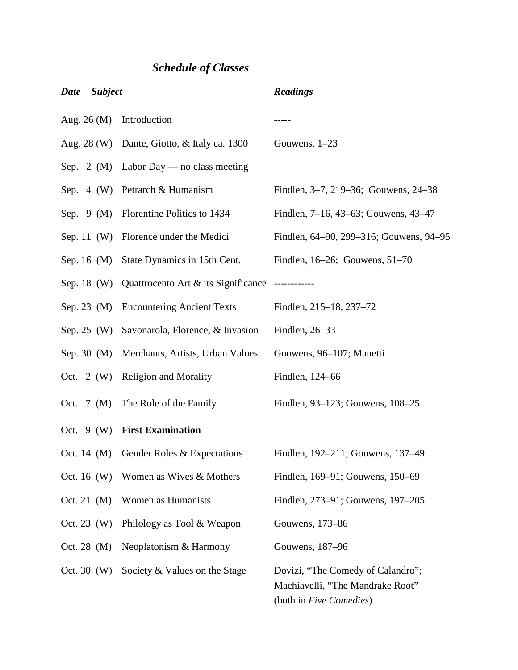## *Schedule of Classes*

| Date                    | <b>Subject</b> |                                                              | <b>Readings</b>                                                                                  |
|-------------------------|----------------|--------------------------------------------------------------|--------------------------------------------------------------------------------------------------|
| Aug. $26 \, (\text{M})$ |                | Introduction                                                 |                                                                                                  |
|                         |                | Aug. 28 (W) Dante, Giotto, & Italy ca. 1300                  | Gouwens, $1-23$                                                                                  |
|                         |                | Sep. 2 (M) Labor Day — no class meeting                      |                                                                                                  |
|                         |                | Sep. 4 (W) Petrarch & Humanism                               | Findlen, 3-7, 219-36; Gouwens, 24-38                                                             |
|                         |                | Sep. 9 (M) Florentine Politics to 1434                       | Findlen, 7–16, 43–63; Gouwens, 43–47                                                             |
| Sep. 11 $(W)$           |                | Florence under the Medici                                    | Findlen, 64–90, 299–316; Gouwens, 94–95                                                          |
| Sep. 16 $(M)$           |                | State Dynamics in 15th Cent.                                 | Findlen, $16-26$ ; Gouwens, $51-70$                                                              |
|                         |                | Sep. 18 (W) Quattrocento Art & its Significance ------------ |                                                                                                  |
| Sep. 23 $(M)$           |                | <b>Encountering Ancient Texts</b>                            | Findlen, 215–18, 237–72                                                                          |
| Sep. $25$ (W)           |                | Savonarola, Florence, & Invasion                             | Findlen, 26-33                                                                                   |
| Sep. 30 $(M)$           |                | Merchants, Artists, Urban Values                             | Gouwens, 96-107; Manetti                                                                         |
| Oct. 2 $(W)$            |                | <b>Religion and Morality</b>                                 | Findlen, 124-66                                                                                  |
| Oct. $7 \text{ (M)}$    |                | The Role of the Family                                       | Findlen, 93–123; Gouwens, 108–25                                                                 |
| Oct. $9(W)$             |                | <b>First Examination</b>                                     |                                                                                                  |
|                         |                | Oct. 14 (M) Gender Roles $&$ Expectations                    | Findlen, 192–211; Gouwens, 137–49                                                                |
| Oct. 16 $(W)$           |                | Women as Wives & Mothers                                     | Findlen, 169–91; Gouwens, 150–69                                                                 |
| Oct. 21 $(M)$           |                | Women as Humanists                                           | Findlen, 273–91; Gouwens, 197–205                                                                |
| Oct. 23 $(W)$           |                | Philology as Tool & Weapon                                   | Gouwens, 173–86                                                                                  |
| Oct. 28 (M)             |                | Neoplatonism & Harmony                                       | Gouwens, 187-96                                                                                  |
| Oct. 30 $(W)$           |                | Society & Values on the Stage                                | Dovizi, "The Comedy of Calandro";<br>Machiavelli, "The Mandrake Root"<br>(both in Five Comedies) |